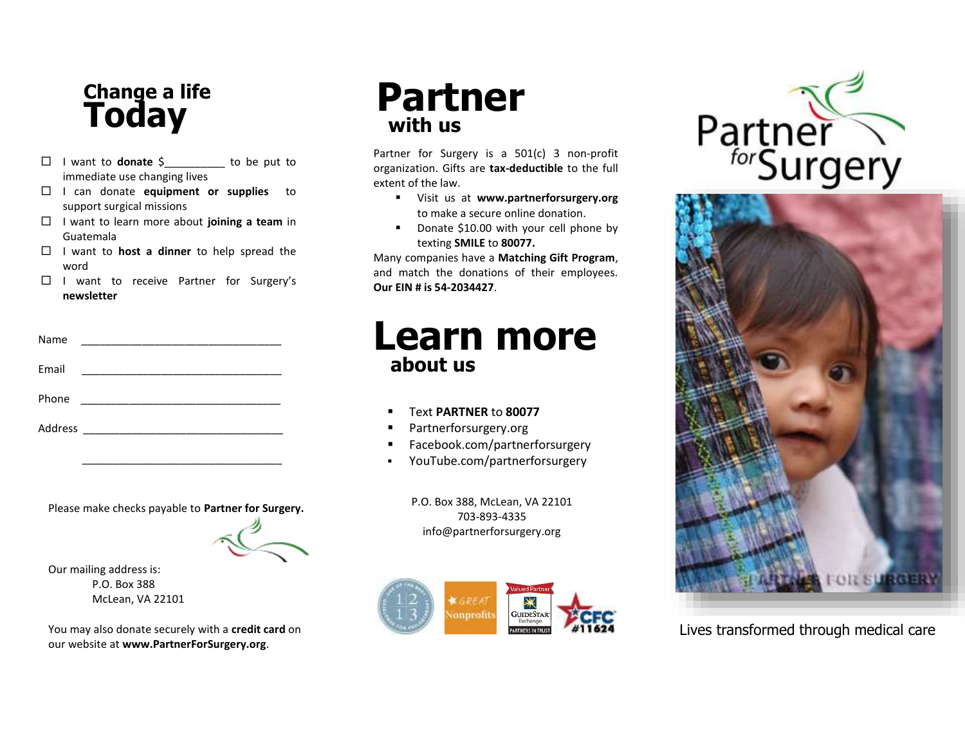### **Change a life Today**

- I want to **donate** \$\_\_\_\_\_\_\_\_\_\_ to be put to immediate use changing lives
- I can donate **equipment or supplies** to support surgical missions
- I want to learn more about **joining a team** in Guatemala
- $\Box$  I want to **host a dinner** to help spread the word
- $\Box$  I want to receive Partner for Surgery's **newsletter**

| Name                                                                                                                           |  |
|--------------------------------------------------------------------------------------------------------------------------------|--|
| Email<br><u> 1989 - Jan Berlin, mars and de film and de film and de film and de film and de film and de film and de film a</u> |  |
| Phone                                                                                                                          |  |
| Address                                                                                                                        |  |

Please make checks payable to **Partner for Surgery.**

\_\_\_\_\_\_\_\_\_\_\_\_\_\_\_\_\_\_\_\_\_\_\_\_\_\_\_\_\_\_\_\_\_



Our mailing address is: P.O. Box 388 McLean, VA 22101

You may also donate securely with a **credit card** on our website at **www.PartnerForSurgery.org**.

## **Partner with us**

Partner for Surgery is a 501(c) 3 non-profit organization. Gifts are **tax-deductible** to the full extent of the law.

- Visit us at **www.partnerforsurgery.org** to make a secure online donation.
- Donate \$10.00 with your cell phone by texting **SMILE** to **80077.**

Many companies have a **Matching Gift Program**, and match the donations of their employees. **Our EIN # is 54-2034427**.

## **Learn more about us**

- Text **PARTNER** to **80077**
- Partnerforsurgery.org
- Facebook.com/partnerforsurgery
- YouTube.com/partnerforsurgery

P.O. Box 388, McLean, VA 22101 703-893-4335 info@partnerforsurgery.org







Lives transformed through medical care